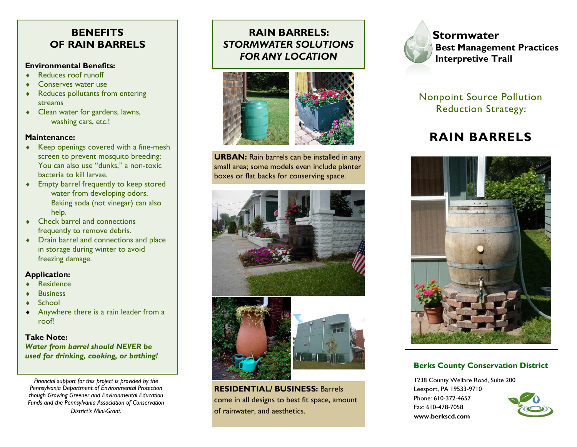## **BENEFITS OF RAIN BARRELS**

### **Environmental Benefits:**

- ◆ Reduces roof runoff
- ◆ Conserves water use
- Reduces pollutants from entering streams
- Clean water for gardens, lawns, washing cars, etc.!

#### **Maintenance:**

- ◆ Keep openings covered with a fine-mesh screen to prevent mosquito breeding; You can also use "dunks," a non-toxic bacteria to kill larvae.
- Empty barrel frequently to keep stored water from developing odors. Baking soda (not vinegar) can also help.
- ◆ Check barrel and connections frequently to remove debris.
- Drain barrel and connections and place in storage during winter to avoid freezing damage.

## **Application:**

- Residence
- **A** Business
- $\triangle$  School
- Anywhere there is a rain leader from a roof!

### **Take Note:**  *Water from barrel should NEVER be used for drinking, cooking, or bathing!*

*Financial support for this project is provided by the Pennsylvania Department of Environmental Protection though Growing Greener and Environmental Education Funds and the Pennsylvania Association of Conservation District's Mini-Grant.* 

# **RAIN BARRELS:**  *STORMWATER SOLUTIONS FOR ANY LOCATION*



**URBAN:** Rain barrels can be installed in any small area; some models even include planter boxes or flat backs for conserving space.





**RESIDENTIAL/ BUSINESS:** Barrels come in all designs to best fit space, amount of rainwater, and aesthetics.



**Stormwater Best Management Practices Interpretive Trail**

Nonpoint Source Pollution Reduction Strategy:

# **RAIN BARRELS**



## **Berks County Conservation District**

1238 County Welfare Road, Suite 200 Leesport, PA 19533-9710 Phone: 610-372-4657 Fax: 610-478-7058 **www.berkscd.com**